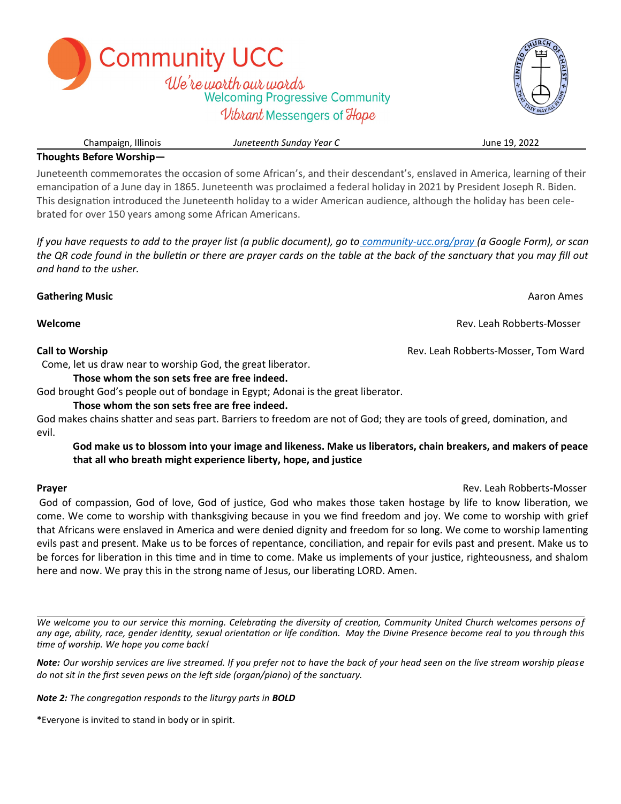Champaign, Illinois *Juneteenth Sunday Year C* June 19, 2022 **Thoughts Before Worship—**

Juneteenth commemorates the occasion of some African's, and their descendant's, enslaved in America, learning of their emancipation of a June day in 1865. Juneteenth was proclaimed a federal holiday in 2021 by President Joseph R. Biden. This designation introduced the Juneteenth holiday to a wider American audience, although the holiday has been celebrated for over 150 years among some African Americans.

*If you have requests to add to the prayer list (a public document), go to community-ucc.org/pray (a Google Form), or scan the QR code found in the bulletin or there are prayer cards on the table at the back of the sanctuary that you may fill out and hand to the usher.* 

**Gathering Music** Aaron Ames **Abraham American American American American American American American American American American American American American American American American American American American American Amer** 

Come, let us draw near to worship God, the great liberator.

## **Those whom the son sets free are free indeed.**

**Community UCC** 

God brought God's people out of bondage in Egypt; Adonai is the great liberator.

## **Those whom the son sets free are free indeed.**

God makes chains shatter and seas part. Barriers to freedom are not of God; they are tools of greed, domination, and evil.

# **God make us to blossom into your image and likeness. Make us liberators, chain breakers, and makers of peace that all who breath might experience liberty, hope, and justice**

God of compassion, God of love, God of justice, God who makes those taken hostage by life to know liberation, we come. We come to worship with thanksgiving because in you we find freedom and joy. We come to worship with grief that Africans were enslaved in America and were denied dignity and freedom for so long. We come to worship lamenting evils past and present. Make us to be forces of repentance, conciliation, and repair for evils past and present. Make us to be forces for liberation in this time and in time to come. Make us implements of your justice, righteousness, and shalom here and now. We pray this in the strong name of Jesus, our liberating LORD. Amen.

*We welcome you to our service this morning. Celebrating the diversity of creation, Community United Church welcomes persons of any age, ability, race, gender identity, sexual orientation or life condition. May the Divine Presence become real to you through this time of worship. We hope you come back!* 

*Note: Our worship services are live streamed. If you prefer not to have the back of your head seen on the live stream worship please do not sit in the first seven pews on the left side (organ/piano) of the sanctuary.*

*Note 2: The congregation responds to the liturgy parts in BOLD*

\*Everyone is invited to stand in body or in spirit.

We're worth our words **Welcoming Progressive Community** Vibrant Messengers of Hope



**Melcome Rev. Leah Robberts-Mosser Rev. Leah Robberts-Mosser** 

**Call to Worship Community Community Community Community Community Community Community Community Community Community Community Community Community Community Community Community Community Community Community Community Commu** 

**Prayer** Rev. Leah Robberts-Mosser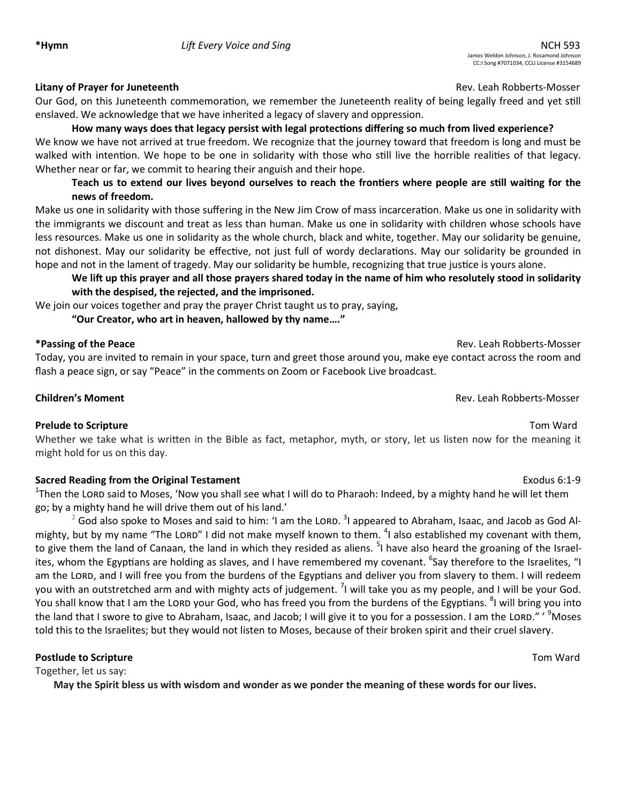### **Litany of Prayer for Juneteenth Rev. Leah Robberts-Mosser Rev. Leah Robberts-Mosser**

Our God, on this Juneteenth commemoration, we remember the Juneteenth reality of being legally freed and yet still enslaved. We acknowledge that we have inherited a legacy of slavery and oppression.

# **How many ways does that legacy persist with legal protections differing so much from lived experience?**

We know we have not arrived at true freedom. We recognize that the journey toward that freedom is long and must be walked with intention. We hope to be one in solidarity with those who still live the horrible realities of that legacy. Whether near or far, we commit to hearing their anguish and their hope.

# **Teach us to extend our lives beyond ourselves to reach the frontiers where people are still waiting for the news of freedom.**

Make us one in solidarity with those suffering in the New Jim Crow of mass incarceration. Make us one in solidarity with the immigrants we discount and treat as less than human. Make us one in solidarity with children whose schools have less resources. Make us one in solidarity as the whole church, black and white, together. May our solidarity be genuine, not dishonest. May our solidarity be effective, not just full of wordy declarations. May our solidarity be grounded in hope and not in the lament of tragedy. May our solidarity be humble, recognizing that true justice is yours alone.

# **We lift up this prayer and all those prayers shared today in the name of him who resolutely stood in solidarity with the despised, the rejected, and the imprisoned.**

We join our voices together and pray the prayer Christ taught us to pray, saying,

**"Our Creator, who art in heaven, hallowed by thy name…."**

## **\*Passing of the Peace** Rev. Leah Robberts-Mosser

Today, you are invited to remain in your space, turn and greet those around you, make eye contact across the room and flash a peace sign, or say "Peace" in the comments on Zoom or Facebook Live broadcast.

# **Children's Moment** Rev. Leah Robberts-Mosser

## **Prelude to Scripture** Tom Ward

Whether we take what is written in the Bible as fact, metaphor, myth, or story, let us listen now for the meaning it might hold for us on this day.

## **Sacred Reading from the Original Testament Exodus 6:1-9** Exodus 6:1-9

<sup>1</sup>Then the LORD said to Moses, 'Now you shall see what I will do to Pharaoh: Indeed, by a mighty hand he will let them go; by a mighty hand he will drive them out of his land.'

 $^2$  God also spoke to Moses and said to him: 'I am the LORD.  $^3$ I appeared to Abraham, Isaac, and Jacob as God Almighty, but by my name "The LORD" I did not make myself known to them. <sup>4</sup>I also established my covenant with them, to give them the land of Canaan, the land in which they resided as aliens. <sup>5</sup>I have also heard the groaning of the Israelites, whom the Egyptians are holding as slaves, and I have remembered my covenant. <sup>6</sup>Say therefore to the Israelites, "I am the LORD, and I will free you from the burdens of the Egyptians and deliver you from slavery to them. I will redeem you with an outstretched arm and with mighty acts of judgement. <sup>7</sup>I will take you as my people, and I will be your God. You shall know that I am the LORD your God, who has freed you from the burdens of the Egyptians. <sup>8</sup>I will bring you into the land that I swore to give to Abraham, Isaac, and Jacob; I will give it to you for a possession. I am the LORD." ' <sup>9</sup>Moses told this to the Israelites; but they would not listen to Moses, because of their broken spirit and their cruel slavery.

## **Postlude to Scripture** Tom Ward

Together, let us say:

**May the Spirit bless us with wisdom and wonder as we ponder the meaning of these words for our lives.**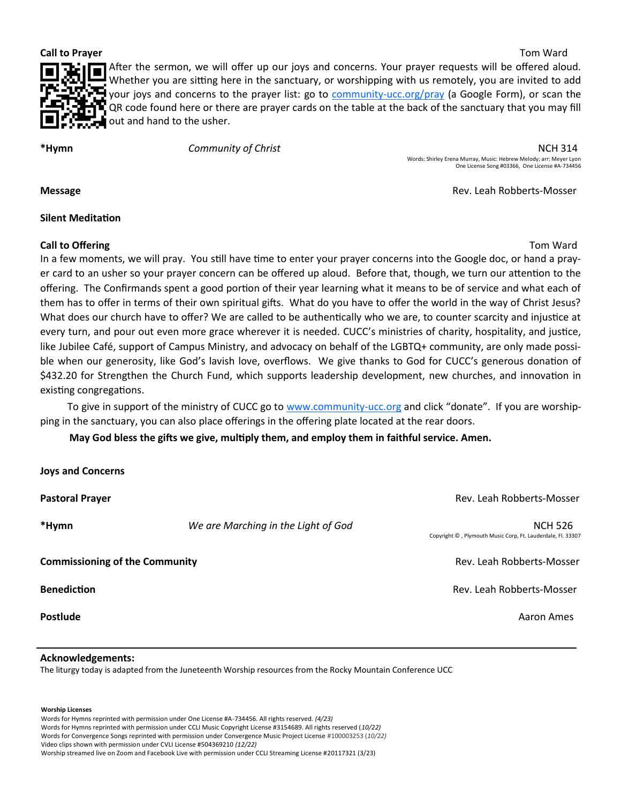**Call to Prayer** Tom Ward



After the sermon, we will offer up our joys and concerns. Your prayer requests will be offered aloud. Whether you are sitting here in the sanctuary, or worshipping with us remotely, you are invited to add your joys and concerns to the prayer list: go to community-[ucc.org/pray](https://docs.google.com/forms/d/e/1FAIpQLSddfoQr6fszsQHZCB-QOEaGPk6DSOOEpvGksH3efYMMZuEUZQ/viewform) (a Google Form), or scan the QR code found here or there are prayer cards on the table at the back of the sanctuary that you may fill out and hand to the usher.

**\*Hymn** *Community of Christ* NCH 314 Words: Shirley Erena Murray, Music: Hebrew Melody; arr: Meyer Lyon One License Song #03366, One License #A-734456

**Message Contract Contract Contract Contract Contract Contract Contract Contract Contract Contract Contract Contract Contract Contract Contract Contract Contract Contract Contract Contract Contract Contract Contract Cont** 

### **Silent Meditation**

## **Call to Offering Tom Ward Call to Offering Tom Ward Call to Offering Tom Ward Call to Offering Tom Ward Call to Offering Tom Ward Call to Offering Tom Ward Call to Offering Tom Ward Call to Offering Tom Ward Call to Offer**

In a few moments, we will pray. You still have time to enter your prayer concerns into the Google doc, or hand a prayer card to an usher so your prayer concern can be offered up aloud. Before that, though, we turn our attention to the offering. The Confirmands spent a good portion of their year learning what it means to be of service and what each of them has to offer in terms of their own spiritual gifts. What do you have to offer the world in the way of Christ Jesus? What does our church have to offer? We are called to be authentically who we are, to counter scarcity and injustice at every turn, and pour out even more grace wherever it is needed. CUCC's ministries of charity, hospitality, and justice, like Jubilee Café, support of Campus Ministry, and advocacy on behalf of the LGBTQ+ community, are only made possible when our generosity, like God's lavish love, overflows. We give thanks to God for CUCC's generous donation of \$432.20 for Strengthen the Church Fund, which supports leadership development, new churches, and innovation in existing congregations.

To give in support of the ministry of CUCC go to [www.community](http://www.community-ucc.org)-ucc.org and click "donate". If you are worshipping in the sanctuary, you can also place offerings in the offering plate located at the rear doors.

**May God bless the gifts we give, multiply them, and employ them in faithful service. Amen.** 

| <b>Joys and Concerns</b>              |                                     |                                                                               |
|---------------------------------------|-------------------------------------|-------------------------------------------------------------------------------|
| <b>Pastoral Prayer</b>                |                                     | Rev. Leah Robberts-Mosser                                                     |
| *Hymn                                 | We are Marching in the Light of God | <b>NCH 526</b><br>Copyright ©, Plymouth Music Corp, Ft. Lauderdale, Fl. 33307 |
| <b>Commissioning of the Community</b> |                                     | Rev. Leah Robberts-Mosser                                                     |
| <b>Benediction</b>                    |                                     | Rev. Leah Robberts-Mosser                                                     |
| Postlude                              |                                     | Aaron Ames                                                                    |

### **Acknowledgements:**

The liturgy today is adapted from the Juneteenth Worship resources from the Rocky Mountain Conference UCC

**Worship Licenses**

Words for Hymns reprinted with permission under One License #A-734456. All rights reserved. *(4/23)*

Words for Hymns reprinted with permission under CCLI Music Copyright License #3154689. All rights reserved (*10/22)*

Words for Convergence Songs reprinted with permission under Convergence Music Project License #100003253 (*10/22)*

Video clips shown with permission under CVLI License #504369210 *(12/22)*

Worship streamed live on Zoom and Facebook Live with permission under CCLI Streaming License #20117321 (3/23)